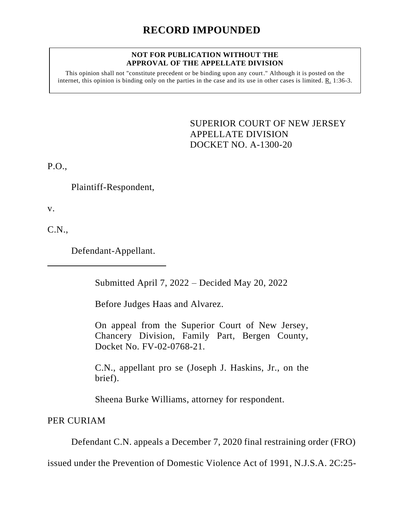#### **NOT FOR PUBLICATION WITHOUT THE APPROVAL OF THE APPELLATE DIVISION**

This opinion shall not "constitute precedent or be binding upon any court." Although it is posted on the internet, this opinion is binding only on the parties in the case and its use in other cases is limited. R. 1:36-3.

> <span id="page-0-0"></span>SUPERIOR COURT OF NEW JERSEY APPELLATE DIVISION DOCKET NO. A-1300-20

P.O.,

Plaintiff-Respondent,

v.

C.N.,

Defendant-Appellant.

Submitted April 7, 2022 – Decided May 20, 2022

Before Judges Haas and Alvarez.

On appeal from the Superior Court of New Jersey, Chancery Division, Family Part, Bergen County, Docket No. FV-02-0768-21.

C.N., appellant pro se (Joseph J. Haskins, Jr., on the brief).

Sheena Burke Williams, attorney for respondent.

PER CURIAM

Defendant C.N. appeals a December 7, 2020 final restraining order (FRO)

issued under the Prevention of Domestic Violence Act of 1991, N.J.S.A. 2C:25-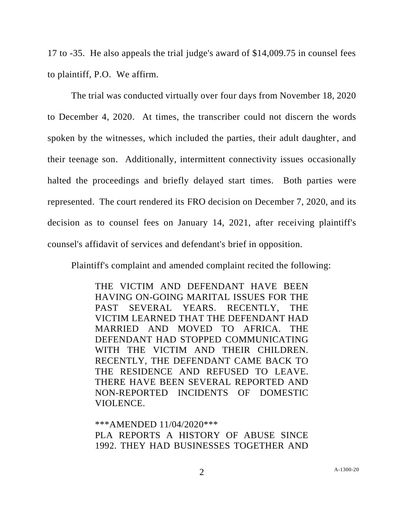17 to -35. He also appeals the trial judge's award of \$14,009.75 in counsel fees to plaintiff, P.O. We affirm.

The trial was conducted virtually over four days from November 18, 2020 to December 4, 2020. At times, the transcriber could not discern the words spoken by the witnesses, which included the parties, their adult daughter, and their teenage son. Additionally, intermittent connectivity issues occasionally halted the proceedings and briefly delayed start times. Both parties were represented. The court rendered its FRO decision on December 7, 2020, and its decision as to counsel fees on January 14, 2021, after receiving plaintiff's counsel's affidavit of services and defendant's brief in opposition.

Plaintiff's complaint and amended complaint recited the following:

THE VICTIM AND DEFENDANT HAVE BEEN HAVING ON-GOING MARITAL ISSUES FOR THE PAST SEVERAL YEARS. RECENTLY, THE VICTIM LEARNED THAT THE DEFENDANT HAD MARRIED AND MOVED TO AFRICA. THE DEFENDANT HAD STOPPED COMMUNICATING WITH THE VICTIM AND THEIR CHILDREN. RECENTLY, THE DEFENDANT CAME BACK TO THE RESIDENCE AND REFUSED TO LEAVE. THERE HAVE BEEN SEVERAL REPORTED AND NON-REPORTED INCIDENTS OF DOMESTIC VIOLENCE.

\*\*\*AMENDED 11/04/2020\*\*\* PLA REPORTS A HISTORY OF ABUSE SINCE 1992. THEY HAD BUSINESSES TOGETHER AND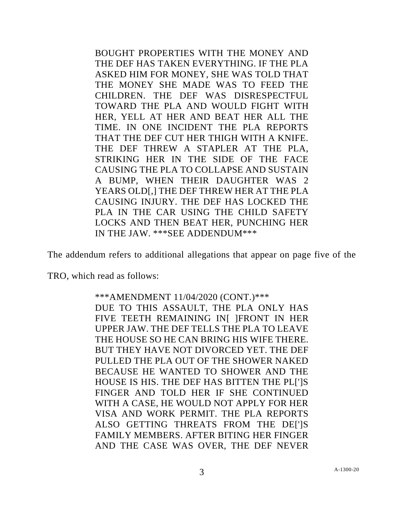BOUGHT PROPERTIES WITH THE MONEY AND THE DEF HAS TAKEN EVERYTHING. IF THE PLA ASKED HIM FOR MONEY, SHE WAS TOLD THAT THE MONEY SHE MADE WAS TO FEED THE CHILDREN. THE DEF WAS DISRESPECTFUL TOWARD THE PLA AND WOULD FIGHT WITH HER, YELL AT HER AND BEAT HER ALL THE TIME. IN ONE INCIDENT THE PLA REPORTS THAT THE DEF CUT HER THIGH WITH A KNIFE. THE DEF THREW A STAPLER AT THE PLA, STRIKING HER IN THE SIDE OF THE FACE CAUSING THE PLA TO COLLAPSE AND SUSTAIN A BUMP, WHEN THEIR DAUGHTER WAS 2 YEARS OLD[,] THE DEF THREW HER AT THE PLA CAUSING INJURY. THE DEF HAS LOCKED THE PLA IN THE CAR USING THE CHILD SAFETY LOCKS AND THEN BEAT HER, PUNCHING HER IN THE JAW. \*\*\*SEE ADDENDUM\*\*\*

The addendum refers to additional allegations that appear on page five of the

TRO, which read as follows:

\*\*\*AMENDMENT 11/04/2020 (CONT.)\*\*\* DUE TO THIS ASSAULT, THE PLA ONLY HAS FIVE TEETH REMAINING IN[ ]FRONT IN HER UPPER JAW. THE DEF TELLS THE PLA TO LEAVE THE HOUSE SO HE CAN BRING HIS WIFE THERE. BUT THEY HAVE NOT DIVORCED YET. THE DEF PULLED THE PLA OUT OF THE SHOWER NAKED BECAUSE HE WANTED TO SHOWER AND THE HOUSE IS HIS. THE DEF HAS BITTEN THE PL[']S FINGER AND TOLD HER IF SHE CONTINUED WITH A CASE, HE WOULD NOT APPLY FOR HER VISA AND WORK PERMIT. THE PLA REPORTS ALSO GETTING THREATS FROM THE DEI'IS FAMILY MEMBERS. AFTER BITING HER FINGER AND THE CASE WAS OVER, THE DEF NEVER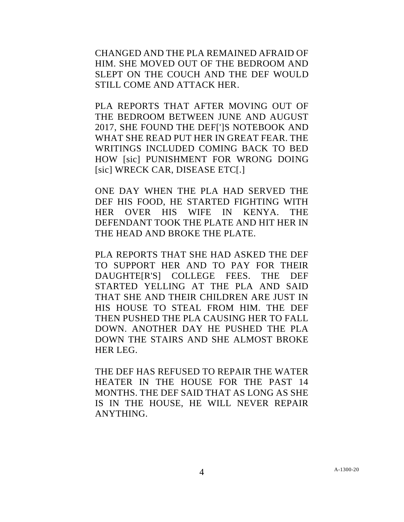CHANGED AND THE PLA REMAINED AFRAID OF HIM. SHE MOVED OUT OF THE BEDROOM AND SLEPT ON THE COUCH AND THE DEF WOULD STILL COME AND ATTACK HER.

PLA REPORTS THAT AFTER MOVING OUT OF THE BEDROOM BETWEEN JUNE AND AUGUST 2017, SHE FOUND THE DEF[']S NOTEBOOK AND WHAT SHE READ PUT HER IN GREAT FEAR. THE WRITINGS INCLUDED COMING BACK TO BED HOW [sic] PUNISHMENT FOR WRONG DOING [sic] WRECK CAR, DISEASE ETC[.]

ONE DAY WHEN THE PLA HAD SERVED THE DEF HIS FOOD, HE STARTED FIGHTING WITH HER OVER HIS WIFE IN KENYA. THE DEFENDANT TOOK THE PLATE AND HIT HER IN THE HEAD AND BROKE THE PLATE.

PLA REPORTS THAT SHE HAD ASKED THE DEF TO SUPPORT HER AND TO PAY FOR THEIR DAUGHTE[R'S] COLLEGE FEES. THE DEF STARTED YELLING AT THE PLA AND SAID THAT SHE AND THEIR CHILDREN ARE JUST IN HIS HOUSE TO STEAL FROM HIM. THE DEF THEN PUSHED THE PLA CAUSING HER TO FALL DOWN. ANOTHER DAY HE PUSHED THE PLA DOWN THE STAIRS AND SHE ALMOST BROKE HER LEG.

THE DEF HAS REFUSED TO REPAIR THE WATER HEATER IN THE HOUSE FOR THE PAST 14 MONTHS. THE DEF SAID THAT AS LONG AS SHE IS IN THE HOUSE, HE WILL NEVER REPAIR ANYTHING.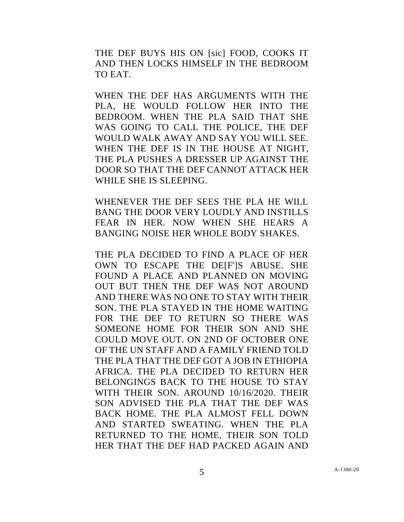THE DEF BUYS HIS ON [sic] FOOD, COOKS IT AND THEN LOCKS HIMSELF IN THE BEDROOM TO EAT.

WHEN THE DEF HAS ARGUMENTS WITH THE PLA, HE WOULD FOLLOW HER INTO THE BEDROOM. WHEN THE PLA SAID THAT SHE WAS GOING TO CALL THE POLICE, THE DEF WOULD WALK AWAY AND SAY YOU WILL SEE. WHEN THE DEF IS IN THE HOUSE AT NIGHT, THE PLA PUSHES A DRESSER UP AGAINST THE DOOR SO THAT THE DEF CANNOT ATTACK HER WHILE SHE IS SLEEPING.

WHENEVER THE DEF SEES THE PLA HE WILL BANG THE DOOR VERY LOUDLY AND INSTILLS FEAR IN HER. NOW WHEN SHE HEARS A BANGING NOISE HER WHOLE BODY SHAKES.

THE PLA DECIDED TO FIND A PLACE OF HER OWN TO ESCAPE THE DEIF'IS ABUSE. SHE FOUND A PLACE AND PLANNED ON MOVING OUT BUT THEN THE DEF WAS NOT AROUND AND THERE WAS NO ONE TO STAY WITH THEIR SON. THE PLA STAYED IN THE HOME WAITING FOR THE DEF TO RETURN SO THERE WAS SOMEONE HOME FOR THEIR SON AND SHE COULD MOVE OUT. ON 2ND OF OCTOBER ONE OF THE UN STAFF AND A FAMILY FRIEND TOLD THE PLA THAT THE DEF GOT A JOB IN ETHIOPIA AFRICA. THE PLA DECIDED TO RETURN HER BELONGINGS BACK TO THE HOUSE TO STAY WITH THEIR SON. AROUND 10/16/2020. THEIR SON ADVISED THE PLA THAT THE DEF WAS BACK HOME. THE PLA ALMOST FELL DOWN AND STARTED SWEATING. WHEN THE PLA RETURNED TO THE HOME, THEIR SON TOLD HER THAT THE DEF HAD PACKED AGAIN AND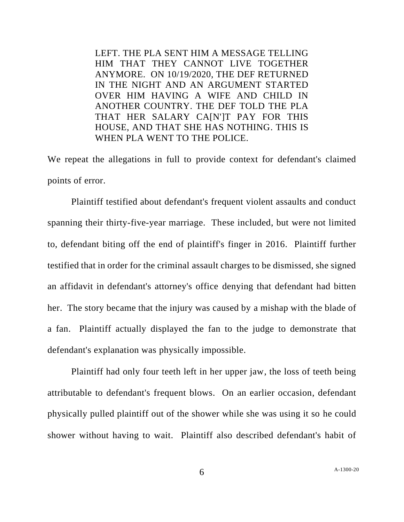LEFT. THE PLA SENT HIM A MESSAGE TELLING HIM THAT THEY CANNOT LIVE TOGETHER ANYMORE. ON 10/19/2020, THE DEF RETURNED IN THE NIGHT AND AN ARGUMENT STARTED OVER HIM HAVING A WIFE AND CHILD IN ANOTHER COUNTRY. THE DEF TOLD THE PLA THAT HER SALARY CA[N']T PAY FOR THIS HOUSE, AND THAT SHE HAS NOTHING. THIS IS WHEN PLA WENT TO THE POLICE.

We repeat the allegations in full to provide context for defendant's claimed points of error.

Plaintiff testified about defendant's frequent violent assaults and conduct spanning their thirty-five-year marriage. These included, but were not limited to, defendant biting off the end of plaintiff's finger in 2016. Plaintiff further testified that in order for the criminal assault charges to be dismissed, she signed an affidavit in defendant's attorney's office denying that defendant had bitten her. The story became that the injury was caused by a mishap with the blade of a fan. Plaintiff actually displayed the fan to the judge to demonstrate that defendant's explanation was physically impossible.

Plaintiff had only four teeth left in her upper jaw, the loss of teeth being attributable to defendant's frequent blows. On an earlier occasion, defendant physically pulled plaintiff out of the shower while she was using it so he could shower without having to wait. Plaintiff also described defendant's habit of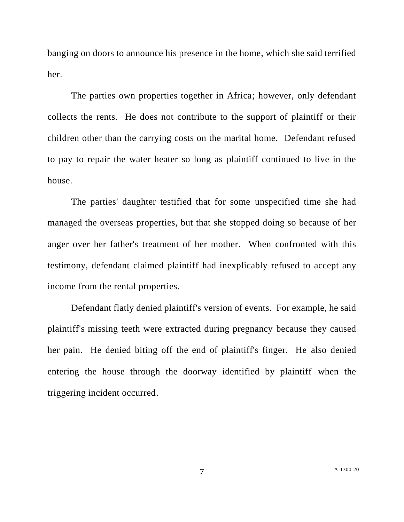banging on doors to announce his presence in the home, which she said terrified her.

The parties own properties together in Africa; however, only defendant collects the rents. He does not contribute to the support of plaintiff or their children other than the carrying costs on the marital home. Defendant refused to pay to repair the water heater so long as plaintiff continued to live in the house.

The parties' daughter testified that for some unspecified time she had managed the overseas properties, but that she stopped doing so because of her anger over her father's treatment of her mother. When confronted with this testimony, defendant claimed plaintiff had inexplicably refused to accept any income from the rental properties.

Defendant flatly denied plaintiff's version of events. For example, he said plaintiff's missing teeth were extracted during pregnancy because they caused her pain. He denied biting off the end of plaintiff's finger. He also denied entering the house through the doorway identified by plaintiff when the triggering incident occurred.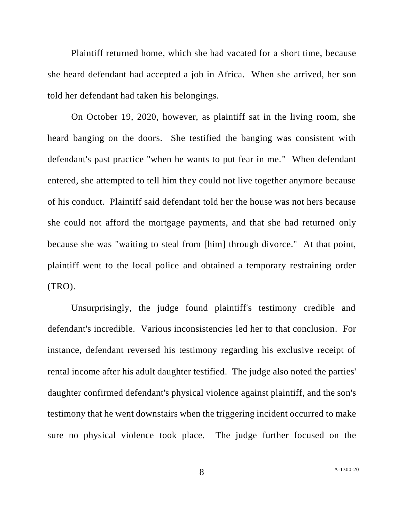Plaintiff returned home, which she had vacated for a short time, because she heard defendant had accepted a job in Africa. When she arrived, her son told her defendant had taken his belongings.

On October 19, 2020, however, as plaintiff sat in the living room, she heard banging on the doors. She testified the banging was consistent with defendant's past practice "when he wants to put fear in me." When defendant entered, she attempted to tell him they could not live together anymore because of his conduct. Plaintiff said defendant told her the house was not hers because she could not afford the mortgage payments, and that she had returned only because she was "waiting to steal from [him] through divorce." At that point, plaintiff went to the local police and obtained a temporary restraining order (TRO).

Unsurprisingly, the judge found plaintiff's testimony credible and defendant's incredible. Various inconsistencies led her to that conclusion. For instance, defendant reversed his testimony regarding his exclusive receipt of rental income after his adult daughter testified. The judge also noted the parties' daughter confirmed defendant's physical violence against plaintiff, and the son's testimony that he went downstairs when the triggering incident occurred to make sure no physical violence took place. The judge further focused on the

8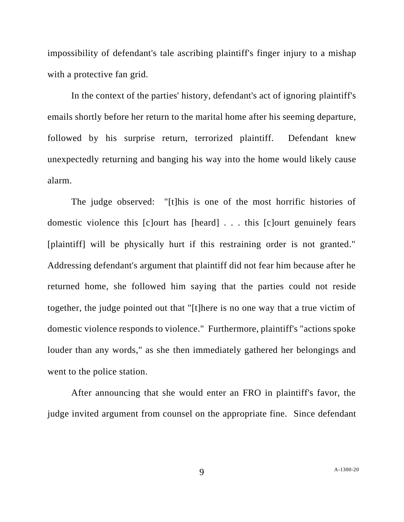impossibility of defendant's tale ascribing plaintiff's finger injury to a mishap with a protective fan grid.

In the context of the parties' history, defendant's act of ignoring plaintiff's emails shortly before her return to the marital home after his seeming departure, followed by his surprise return, terrorized plaintiff. Defendant knew unexpectedly returning and banging his way into the home would likely cause alarm.

The judge observed: "[t]his is one of the most horrific histories of domestic violence this [c]ourt has [heard] . . . this [c]ourt genuinely fears [plaintiff] will be physically hurt if this restraining order is not granted." Addressing defendant's argument that plaintiff did not fear him because after he returned home, she followed him saying that the parties could not reside together, the judge pointed out that "[t]here is no one way that a true victim of domestic violence responds to violence." Furthermore, plaintiff's "actions spoke louder than any words," as she then immediately gathered her belongings and went to the police station.

After announcing that she would enter an FRO in plaintiff's favor, the judge invited argument from counsel on the appropriate fine. Since defendant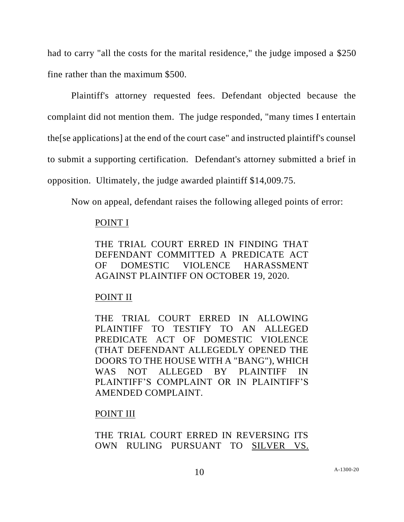had to carry "all the costs for the marital residence," the judge imposed a \$250 fine rather than the maximum \$500.

Plaintiff's attorney requested fees. Defendant objected because the complaint did not mention them. The judge responded, "many times I entertain the[se applications] at the end of the court case" and instructed plaintiff's counsel to submit a supporting certification. Defendant's attorney submitted a brief in opposition. Ultimately, the judge awarded plaintiff \$14,009.75.

Now on appeal, defendant raises the following alleged points of error:

## POINT I

THE TRIAL COURT ERRED IN FINDING THAT DEFENDANT COMMITTED A PREDICATE ACT OF DOMESTIC VIOLENCE HARASSMENT AGAINST PLAINTIFF ON OCTOBER 19, 2020.

# POINT II

THE TRIAL COURT ERRED IN ALLOWING PLAINTIFF TO TESTIFY TO AN ALLEGED PREDICATE ACT OF DOMESTIC VIOLENCE (THAT DEFENDANT ALLEGEDLY OPENED THE DOORS TO THE HOUSE WITH A "BANG"), WHICH WAS NOT ALLEGED BY PLAINTIFF IN PLAINTIFF'S COMPLAINT OR IN PLAINTIFF'S AMENDED COMPLAINT.

## POINT III

THE TRIAL COURT ERRED IN REVERSING ITS OWN RULING PURSUANT TO SILVER VS.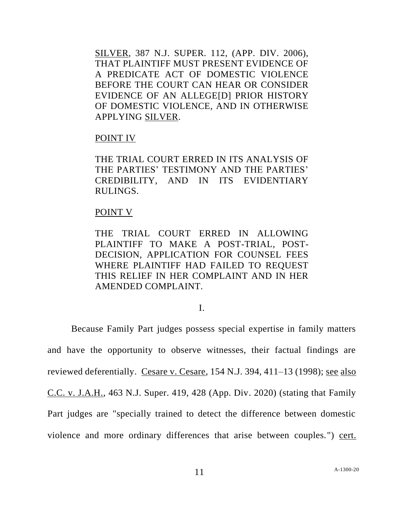SILVER, 387 N.J. SUPER. 112, (APP. DIV. 2006), THAT PLAINTIFF MUST PRESENT EVIDENCE OF A PREDICATE ACT OF DOMESTIC VIOLENCE BEFORE THE COURT CAN HEAR OR CONSIDER EVIDENCE OF AN ALLEGE[D] PRIOR HISTORY OF DOMESTIC VIOLENCE, AND IN OTHERWISE APPLYING SILVER.

#### POINT IV

THE TRIAL COURT ERRED IN ITS ANALYSIS OF THE PARTIES' TESTIMONY AND THE PARTIES' CREDIBILITY, AND IN ITS EVIDENTIARY RULINGS.

#### POINT V

THE TRIAL COURT ERRED IN ALLOWING PLAINTIFF TO MAKE A POST-TRIAL, POST-DECISION, APPLICATION FOR COUNSEL FEES WHERE PLAINTIFF HAD FAILED TO REQUEST THIS RELIEF IN HER COMPLAINT AND IN HER AMENDED COMPLAINT.

### I.

Because Family Part judges possess special expertise in family matters and have the opportunity to observe witnesses, their factual findings are reviewed deferentially. Cesare v. Cesare, 154 N.J. 394, 411–13 (1998); see also C.C. v. J.A.H., 463 N.J. Super. 419, 428 (App. Div. 2020) (stating that Family Part judges are "specially trained to detect the difference between domestic violence and more ordinary differences that arise between couples.") cert.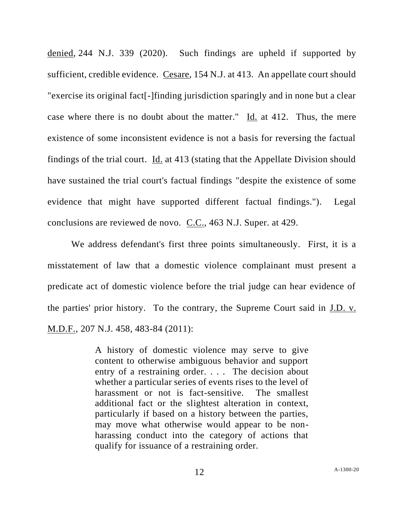denied, 244 N.J. 339 (2020). Such findings are upheld if supported by sufficient, credible evidence. Cesare, 154 N.J. at 413. An appellate court should "exercise its original fact[-]finding jurisdiction sparingly and in none but a clear case where there is no doubt about the matter." Id. at 412. Thus, the mere existence of some inconsistent evidence is not a basis for reversing the factual findings of the trial court. Id. at 413 (stating that the Appellate Division should have sustained the trial court's factual findings "despite the existence of some evidence that might have supported different factual findings."). Legal conclusions are reviewed de novo. C.C., 463 N.J. Super. at 429.

We address defendant's first three points simultaneously. First, it is a misstatement of law that a domestic violence complainant must present a predicate act of domestic violence before the trial judge can hear evidence of the parties' prior history. To the contrary, the Supreme Court said in J.D. v. M.D.F., 207 N.J. 458, 483-84 (2011):

> A history of domestic violence may serve to give content to otherwise ambiguous behavior and support entry of a restraining order. . . . The decision about whether a particular series of events rises to the level of harassment or not is fact-sensitive. The smallest additional fact or the slightest alteration in context, particularly if based on a history between the parties, may move what otherwise would appear to be nonharassing conduct into the category of actions that qualify for issuance of a restraining order.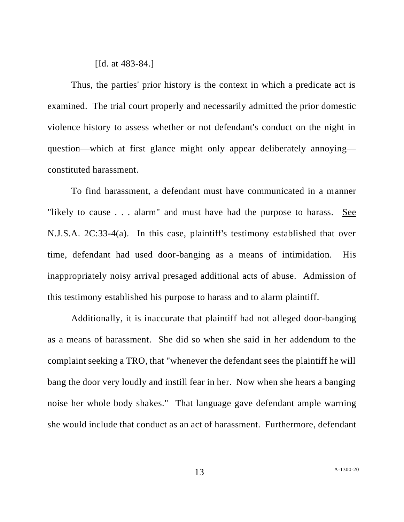### [Id. at 483-84.]

Thus, the parties' prior history is the context in which a predicate act is examined. The trial court properly and necessarily admitted the prior domestic violence history to assess whether or not defendant's conduct on the night in question—which at first glance might only appear deliberately annoying constituted harassment.

To find harassment, a defendant must have communicated in a manner "likely to cause . . . alarm" and must have had the purpose to harass. See N.J.S.A. 2C:33-4(a). In this case, plaintiff's testimony established that over time, defendant had used door-banging as a means of intimidation. His inappropriately noisy arrival presaged additional acts of abuse. Admission of this testimony established his purpose to harass and to alarm plaintiff.

Additionally, it is inaccurate that plaintiff had not alleged door-banging as a means of harassment. She did so when she said in her addendum to the complaint seeking a TRO, that "whenever the defendant sees the plaintiff he will bang the door very loudly and instill fear in her. Now when she hears a banging noise her whole body shakes." That language gave defendant ample warning she would include that conduct as an act of harassment. Furthermore, defendant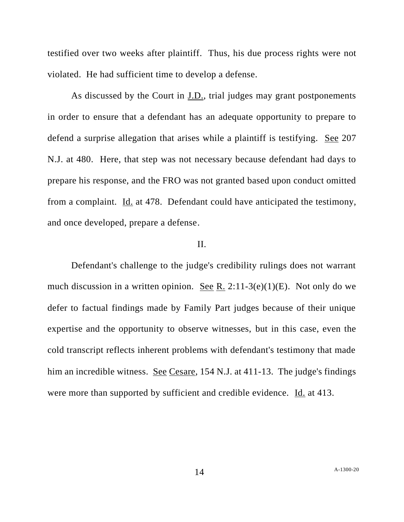testified over two weeks after plaintiff. Thus, his due process rights were not violated. He had sufficient time to develop a defense.

As discussed by the Court in J.D., trial judges may grant postponements in order to ensure that a defendant has an adequate opportunity to prepare to defend a surprise allegation that arises while a plaintiff is testifying. See 207 N.J. at 480. Here, that step was not necessary because defendant had days to prepare his response, and the FRO was not granted based upon conduct omitted from a complaint. Id. at 478. Defendant could have anticipated the testimony, and once developed, prepare a defense.

## II.

Defendant's challenge to the judge's credibility rulings does not warrant much discussion in a written opinion. See R. 2:11-3(e)(1)(E). Not only do we defer to factual findings made by Family Part judges because of their unique expertise and the opportunity to observe witnesses, but in this case, even the cold transcript reflects inherent problems with defendant's testimony that made him an incredible witness. See Cesare, 154 N.J. at 411-13. The judge's findings were more than supported by sufficient and credible evidence. Id. at 413.